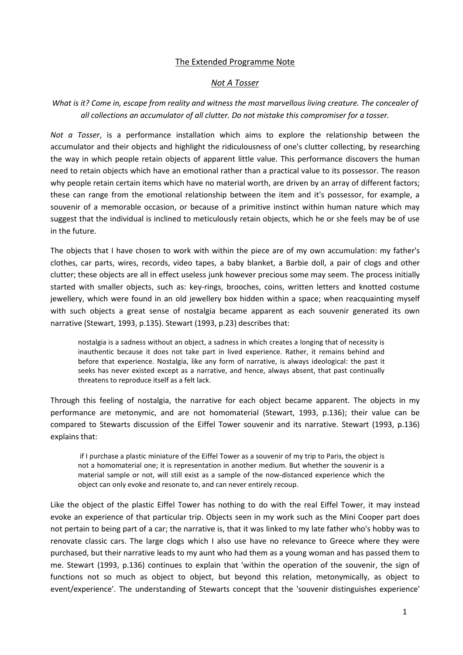## The Extended Programme Note

#### *Not A Tosser*

# *What is it? Come in, escape from reality and witness the most marvellous living creature. The concealer of all collections an accumulator of all clutter. Do not mistake this compromiser for a tosser.*

*Not a Tosser*, is a performance installation which aims to explore the relationship between the accumulator and their objects and highlight the ridiculousness of one's clutter collecting, by researching the way in which people retain objects of apparent little value. This performance discovers the human need to retain objects which have an emotional rather than a practical value to its possessor. The reason why people retain certain items which have no material worth, are driven by an array of different factors; these can range from the emotional relationship between the item and it's possessor, for example, a souvenir of a memorable occasion, or because of a primitive instinct within human nature which may suggest that the individual is inclined to meticulously retain objects, which he or she feels may be of use in the future.

The objects that I have chosen to work with within the piece are of my own accumulation: my father's clothes, car parts, wires, records, video tapes, a baby blanket, a Barbie doll, a pair of clogs and other clutter; these objects are all in effect useless junk however precious some may seem. The process initially started with smaller objects, such as: key-rings, brooches, coins, written letters and knotted costume jewellery, which were found in an old jewellery box hidden within a space; when reacquainting myself with such objects a great sense of nostalgia became apparent as each souvenir generated its own narrative (Stewart, 1993, p.135). Stewart (1993, p.23) describes that:

nostalgia is a sadness without an object, a sadness in which creates a longing that of necessity is inauthentic because it does not take part in lived experience. Rather, it remains behind and before that experience. Nostalgia, like any form of narrative, is always ideological: the past it seeks has never existed except as a narrative, and hence, always absent, that past continually threatens to reproduce itself as a felt lack.

Through this feeling of nostalgia, the narrative for each object became apparent. The objects in my performance are metonymic, and are not homomaterial (Stewart, 1993, p.136); their value can be compared to Stewarts discussion of the Eiffel Tower souvenir and its narrative. Stewart (1993, p.136) explains that:

if I purchase a plastic miniature of the Eiffel Tower as a souvenir of my trip to Paris, the object is not a homomaterial one; it is representation in another medium. But whether the souvenir is a material sample or not, will still exist as a sample of the now-distanced experience which the object can only evoke and resonate to, and can never entirely recoup.

Like the object of the plastic Eiffel Tower has nothing to do with the real Eiffel Tower, it may instead evoke an experience of that particular trip. Objects seen in my work such as the Mini Cooper part does not pertain to being part of a car; the narrative is, that it was linked to my late father who's hobby was to renovate classic cars. The large clogs which I also use have no relevance to Greece where they were purchased, but their narrative leads to my aunt who had them as a young woman and has passed them to me. Stewart (1993, p.136) continues to explain that 'within the operation of the souvenir, the sign of functions not so much as object to object, but beyond this relation, metonymically, as object to event/experience'. The understanding of Stewarts concept that the 'souvenir distinguishes experience'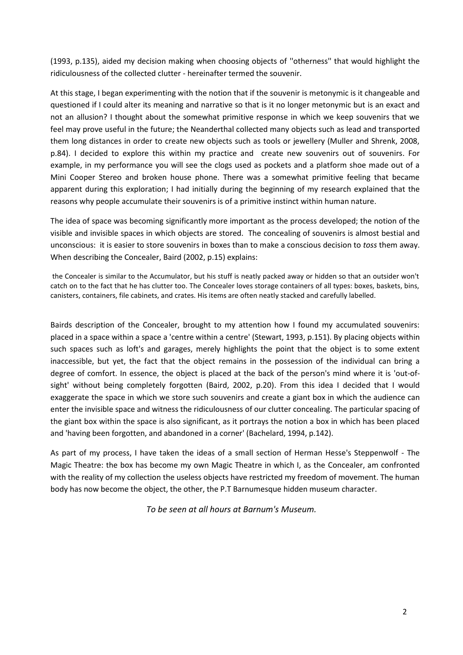(1993, p.135), aided my decision making when choosing objects of ''otherness'' that would highlight the ridiculousness of the collected clutter - hereinafter termed the souvenir.

At this stage, I began experimenting with the notion that if the souvenir is metonymic is it changeable and questioned if I could alter its meaning and narrative so that is it no longer metonymic but is an exact and not an allusion? I thought about the somewhat primitive response in which we keep souvenirs that we feel may prove useful in the future; the Neanderthal collected many objects such as lead and transported them long distances in order to create new objects such as tools or jewellery (Muller and Shrenk, 2008, p.84). I decided to explore this within my practice and create new souvenirs out of souvenirs. For example, in my performance you will see the clogs used as pockets and a platform shoe made out of a Mini Cooper Stereo and broken house phone. There was a somewhat primitive feeling that became apparent during this exploration; I had initially during the beginning of my research explained that the reasons why people accumulate their souvenirs is of a primitive instinct within human nature.

The idea of space was becoming significantly more important as the process developed; the notion of the visible and invisible spaces in which objects are stored. The concealing of souvenirs is almost bestial and unconscious: it is easier to store souvenirs in boxes than to make a conscious decision to *toss* them away. When describing the Concealer, Baird (2002, p.15) explains:

the Concealer is similar to the Accumulator, but his stuff is neatly packed away or hidden so that an outsider won't catch on to the fact that he has clutter too. The Concealer loves storage containers of all types: boxes, baskets, bins, canisters, containers, file cabinets, and crates. His items are often neatly stacked and carefully labelled.

Bairds description of the Concealer, brought to my attention how I found my accumulated souvenirs: placed in a space within a space a 'centre within a centre' (Stewart, 1993, p.151). By placing objects within such spaces such as loft's and garages, merely highlights the point that the object is to some extent inaccessible, but yet, the fact that the object remains in the possession of the individual can bring a degree of comfort. In essence, the object is placed at the back of the person's mind where it is 'out-ofsight' without being completely forgotten (Baird, 2002, p.20). From this idea I decided that I would exaggerate the space in which we store such souvenirs and create a giant box in which the audience can enter the invisible space and witness the ridiculousness of our clutter concealing. The particular spacing of the giant box within the space is also significant, as it portrays the notion a box in which has been placed and 'having been forgotten, and abandoned in a corner' (Bachelard, 1994, p.142).

As part of my process, I have taken the ideas of a small section of Herman Hesse's Steppenwolf - The Magic Theatre: the box has become my own Magic Theatre in which I, as the Concealer, am confronted with the reality of my collection the useless objects have restricted my freedom of movement. The human body has now become the object, the other, the P.T Barnumesque hidden museum character.

*To be seen at all hours at Barnum's Museum.*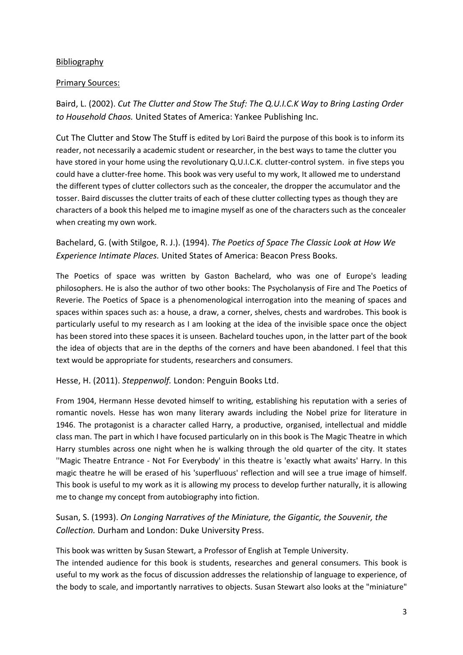## **Bibliography**

## Primary Sources:

Baird, L. (2002). *Cut The Clutter and Stow The Stuf: The Q.U.I.C.K Way to Bring Lasting Order to Household Chaos.* United States of America: Yankee Publishing Inc.

Cut The Clutter and Stow The Stuff is edited by Lori Baird the purpose of this book is to inform its reader, not necessarily a academic student or researcher, in the best ways to tame the clutter you have stored in your home using the revolutionary Q.U.I.C.K. clutter-control system. in five steps you could have a clutter-free home. This book was very useful to my work, It allowed me to understand the different types of clutter collectors such as the concealer, the dropper the accumulator and the tosser. Baird discusses the clutter traits of each of these clutter collecting types as though they are characters of a book this helped me to imagine myself as one of the characters such as the concealer when creating my own work.

Bachelard, G. (with Stilgoe, R. J.). (1994). *The Poetics of Space The Classic Look at How We Experience Intimate Places.* United States of America: Beacon Press Books.

The Poetics of space was written by Gaston Bachelard, who was one of Europe's leading philosophers. He is also the author of two other books: The Psycholanysis of Fire and The Poetics of Reverie. The Poetics of Space is a phenomenological interrogation into the meaning of spaces and spaces within spaces such as: a house, a draw, a corner, shelves, chests and wardrobes. This book is particularly useful to my research as I am looking at the idea of the invisible space once the object has been stored into these spaces it is unseen. Bachelard touches upon, in the latter part of the book the idea of objects that are in the depths of the corners and have been abandoned. I feel that this text would be appropriate for students, researchers and consumers.

Hesse, H. (2011). *Steppenwolf.* London: Penguin Books Ltd.

From 1904, Hermann Hesse devoted himself to writing, establishing his reputation with a series of romantic novels. Hesse has won many literary awards including the Nobel prize for literature in 1946. The protagonist is a character called Harry, a productive, organised, intellectual and middle class man. The part in which I have focused particularly on in this book is The Magic Theatre in which Harry stumbles across one night when he is walking through the old quarter of the city. It states ''Magic Theatre Entrance - Not For Everybody' in this theatre is 'exactly what awaits' Harry. In this magic theatre he will be erased of his 'superfluous' reflection and will see a true image of himself. This book is useful to my work as it is allowing my process to develop further naturally, it is allowing me to change my concept from autobiography into fiction.

Susan, S. (1993). *On Longing Narratives of the Miniature, the Gigantic, the Souvenir, the Collection.* Durham and London: Duke University Press.

This book was written by Susan Stewart, a Professor of English at Temple University.

The intended audience for this book is students, researches and general consumers. This book is useful to my work as the focus of discussion addresses the relationship of language to experience, of the body to scale, and importantly narratives to objects. Susan Stewart also looks at the "miniature"